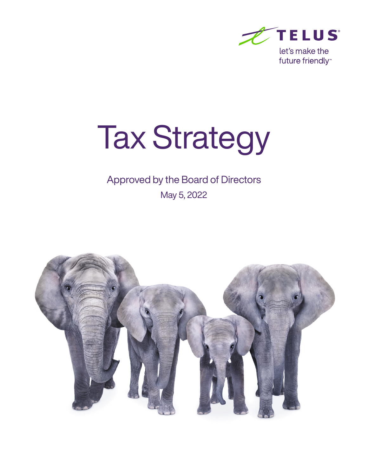

# Tax Strategy

## Approved by the Board of Directors

May 5, 2022

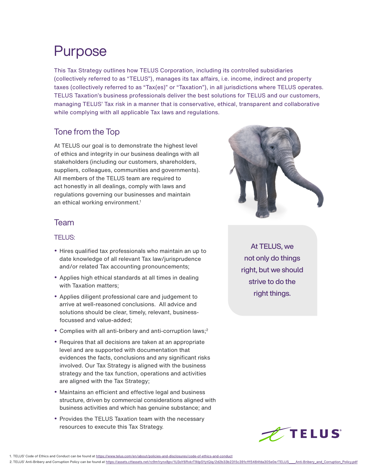# Purpose

This Tax Strategy outlines how TELUS Corporation, including its controlled subsidiaries (collectively referred to as "TELUS"), manages its tax affairs, i.e. income, indirect and property taxes (collectively referred to as "Tax(es)" or "Taxation"), in all jurisdictions where TELUS operates. TELUS Taxation's business professionals deliver the best solutions for TELUS and our customers, managing TELUS' Tax risk in a manner that is conservative, ethical, transparent and collaborative while complying with all applicable Tax laws and regulations.

### Tone from the Top

At TELUS our goal is to demonstrate the highest level of ethics and integrity in our business dealings with all stakeholders (including our customers, shareholders, suppliers, colleagues, communities and governments). All members of the TELUS team are required to act honestly in all dealings, comply with laws and regulations governing our businesses and maintain an ethical working environment.<sup>1</sup>



#### TELUS:

- Hires qualified tax professionals who maintain an up to date knowledge of all relevant Tax law/jurisprudence and/or related Tax accounting pronouncements;
- Applies high ethical standards at all times in dealing with Taxation matters;
- Applies diligent professional care and judgement to arrive at well-reasoned conclusions. All advice and solutions should be clear, timely, relevant, businessfocussed and value-added;
- Complies with all anti-bribery and anti-corruption laws;<sup>2</sup>
- Requires that all decisions are taken at an appropriate level and are supported with documentation that evidences the facts, conclusions and any significant risks involved. Our Tax Strategy is aligned with the business strategy and the tax function, operations and activities are aligned with the Tax Strategy;
- Maintains an efficient and effective legal and business structure, driven by commercial considerations aligned with business activities and which has genuine substance; and
- Provides the TELUS Taxation team with the necessary resources to execute this Tax Strategy.



At TELUS, we not only do things right, but we should strive to do the right things.



<sup>1.</sup> TELUS' Code of Ethics and Conduct can be found at https://www.telus.com/en/about/policies-and-disclosures/code-of-ethics-and-conduct

2.TELUS' Anti-Bribery and Corruption Policy can be found at https://assets.ctfassets.net/rz9m1rynx8pv/1U3oY6RxkrT9ilpSYytQiq/2d2b33b2315c391cfff5484fda305e0e/TELUS\_\_\_\_Anti-Bribery\_and\_Corruption\_Policy.pdf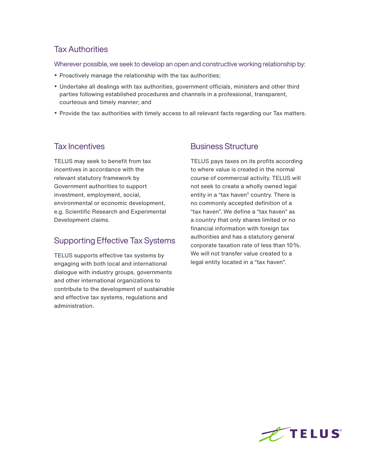#### Tax Authorities

Wherever possible, we seek to develop an open and constructive working relationship by:

- Proactively manage the relationship with the tax authorities;
- Undertake all dealings with tax authorities, government officials, ministers and other third parties following established procedures and channels in a professional, transparent, courteous and timely manner; and
- Provide the tax authorities with timely access to all relevant facts regarding our Tax matters.

#### Tax Incentives

TELUS may seek to benefit from tax incentives in accordance with the relevant statutory framework by Government authorities to support investment, employment, social, environmental or economic development, e.g. Scientific Research and Experimental Development claims.

## Supporting Effective Tax Systems

TELUS supports effective tax systems by engaging with both local and international dialogue with industry groups, governments and other international organizations to contribute to the development of sustainable and effective tax systems, regulations and administration.

#### Business Structure

TELUS pays taxes on its profits according to where value is created in the normal course of commercial activity. TELUS will not seek to create a wholly owned legal entity in a "tax haven" country. There is no commonly accepted definition of a "tax haven". We define a "tax haven" as a country that only shares limited or no financial information with foreign tax authorities and has a statutory general corporate taxation rate of less than 10%. We will not transfer value created to a legal entity located in a "tax haven".